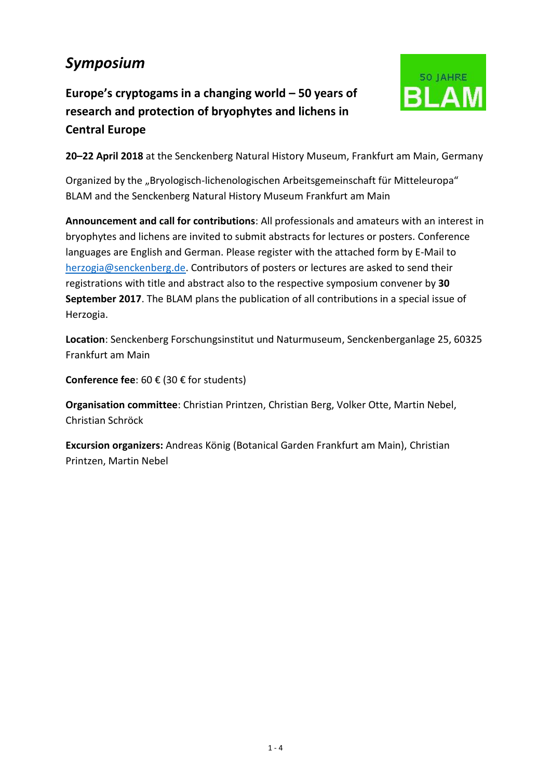# *Symposium*

**Europe's cryptogams in a changing world – 50 years of research and protection of bryophytes and lichens in Central Europe**



**20–22 April 2018** at the Senckenberg Natural History Museum, Frankfurt am Main, Germany

Organized by the "Bryologisch-lichenologischen Arbeitsgemeinschaft für Mitteleuropa" BLAM and the Senckenberg Natural History Museum Frankfurt am Main

**Announcement and call for contributions**: All professionals and amateurs with an interest in bryophytes and lichens are invited to submit abstracts for lectures or posters. Conference languages are English and German. Please register with the attached form by E-Mail to [herzogia@senckenberg.de.](mailto:herzogia@senckenberg.de) Contributors of posters or lectures are asked to send their registrations with title and abstract also to the respective symposium convener by **30 September 2017**. The BLAM plans the publication of all contributions in a special issue of Herzogia.

**Location**: Senckenberg Forschungsinstitut und Naturmuseum, Senckenberganlage 25, 60325 Frankfurt am Main

**Conference fee**: 60 € (30 € for students)

**Organisation committee**: Christian Printzen, Christian Berg, Volker Otte, Martin Nebel, Christian Schröck

**Excursion organizers:** Andreas König (Botanical Garden Frankfurt am Main), Christian Printzen, Martin Nebel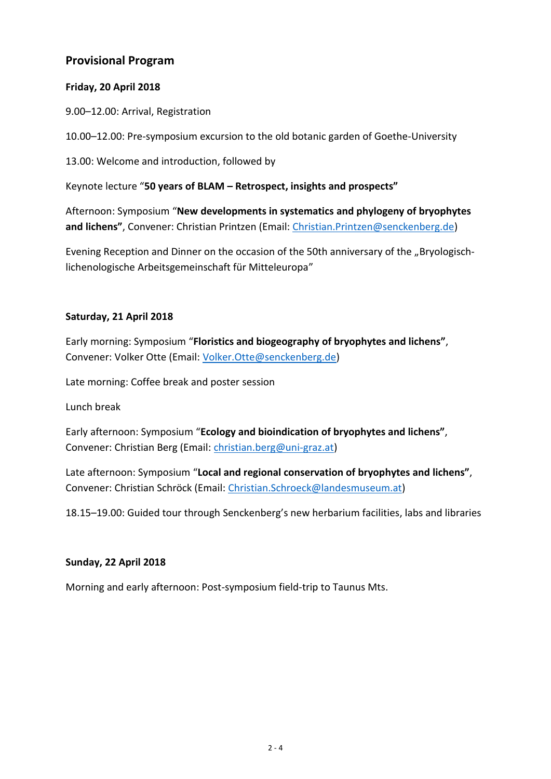### **Provisional Program**

#### **Friday, 20 April 2018**

9.00–12.00: Arrival, Registration

10.00–12.00: Pre-symposium excursion to the old botanic garden of Goethe-University

13.00: Welcome and introduction, followed by

Keynote lecture "**50 years of BLAM – Retrospect, insights and prospects"**

Afternoon: Symposium "**New developments in systematics and phylogeny of bryophytes and lichens"**, Convener: Christian Printzen (Email: [Christian.Printzen@senckenberg.de\)](mailto:Christian.Printzen@senckenberg.de)

Evening Reception and Dinner on the occasion of the 50th anniversary of the "Bryologischlichenologische Arbeitsgemeinschaft für Mitteleuropa"

#### **Saturday, 21 April 2018**

Early morning: Symposium "**Floristics and biogeography of bryophytes and lichens"**, Convener: Volker Otte (Email: [Volker.Otte@senckenberg.de\)](mailto:Volker.Otte@senckenberg.de)

Late morning: Coffee break and poster session

Lunch break

Early afternoon: Symposium "**Ecology and bioindication of bryophytes and lichens"**, Convener: Christian Berg (Email: [christian.berg@uni-graz.at\)](mailto:christian.berg@uni-graz.at)

Late afternoon: Symposium "**Local and regional conservation of bryophytes and lichens"**, Convener: Christian Schröck (Email: [Christian.Schroeck@landesmuseum.at\)](mailto:Christian.Schroeck@landesmuseum.at)

18.15–19.00: Guided tour through Senckenberg's new herbarium facilities, labs and libraries

#### **Sunday, 22 April 2018**

Morning and early afternoon: Post-symposium field-trip to Taunus Mts.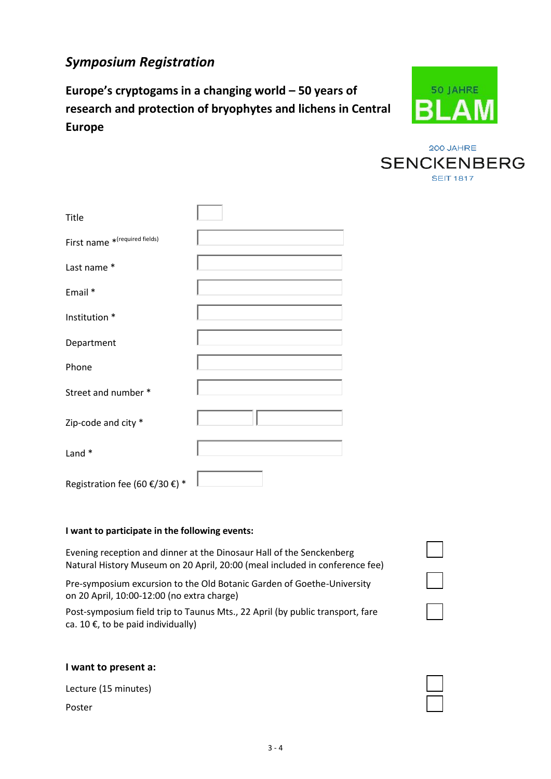## *Symposium Registration*

**Europe's cryptogams in a changing world – 50 years of research and protection of bryophytes and lichens in Central Europe**



200 JAHRE **SENCKENBERG SEIT 1817** 

| Title                          |  |
|--------------------------------|--|
| First name * (required fields) |  |
| Last name *                    |  |
| Email *                        |  |
| Institution *                  |  |
| Department                     |  |
| Phone                          |  |
| Street and number *            |  |
| Zip-code and city *            |  |
| Land *                         |  |
| Registration fee (60 €/30 €) * |  |

#### **I want to participate in the following events:**

Evening reception and dinner at the Dinosaur Hall of the Senckenberg Natural History Museum on 20 April, 20:00 (meal included in conference fee)

Pre-symposium excursion to the Old Botanic Garden of Goethe-University on 20 April, 10:00-12:00 (no extra charge)

Post-symposium field trip to Taunus Mts., 22 April (by public transport, fare ca. 10  $\epsilon$ , to be paid individually)

#### **I want to present a:**

Lecture (15 minutes)

Poster